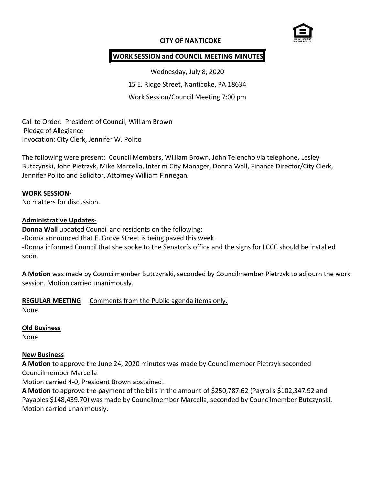# **CITY OF NANTICOKE**



## **WORK SESSION and COUNCIL MEETING MINUTES**

Wednesday, July 8, 2020 15 E. Ridge Street, Nanticoke, PA 18634 Work Session/Council Meeting 7:00 pm

Call to Order: President of Council, William Brown Pledge of Allegiance Invocation: City Clerk, Jennifer W. Polito

The following were present: Council Members, William Brown, John Telencho via telephone, Lesley Butczynski, John Pietrzyk, Mike Marcella, Interim City Manager, Donna Wall, Finance Director/City Clerk, Jennifer Polito and Solicitor, Attorney William Finnegan.

#### **WORK SESSION-**

No matters for discussion.

#### **Administrative Updates-**

**Donna Wall** updated Council and residents on the following: -Donna announced that E. Grove Street is being paved this week. -Donna informed Council that she spoke to the Senator's office and the signs for LCCC should be installed soon.

**A Motion** was made by Councilmember Butczynski, seconded by Councilmember Pietrzyk to adjourn the work session. Motion carried unanimously.

#### **REGULAR MEETING** Comments from the Public agenda items only.

None

#### **Old Business**

None

#### **New Business**

**A Motion** to approve the June 24, 2020 minutes was made by Councilmember Pietrzyk seconded Councilmember Marcella.

Motion carried 4-0, President Brown abstained.

**A Motion** to approve the payment of the bills in the amount of \$250,787.62 (Payrolls \$102,347.92 and Payables \$148,439.70) was made by Councilmember Marcella, seconded by Councilmember Butczynski. Motion carried unanimously.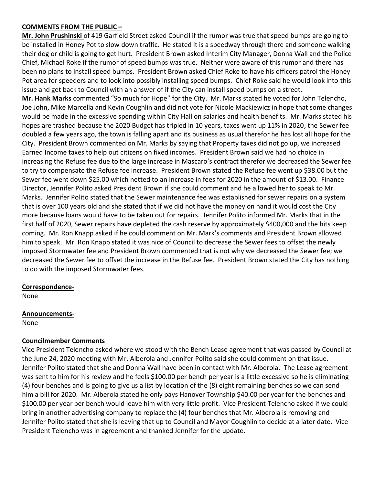#### **COMMENTS FROM THE PUBLIC –**

**Mr. John Prushinski** of 419 Garfield Street asked Council if the rumor was true that speed bumps are going to be installed in Honey Pot to slow down traffic. He stated it is a speedway through there and someone walking their dog or child is going to get hurt. President Brown asked Interim City Manager, Donna Wall and the Police Chief, Michael Roke if the rumor of speed bumps was true. Neither were aware of this rumor and there has been no plans to install speed bumps. President Brown asked Chief Roke to have his officers patrol the Honey Pot area for speeders and to look into possibly installing speed bumps. Chief Roke said he would look into this issue and get back to Council with an answer of if the City can install speed bumps on a street. **Mr. Hank Marks** commented "So much for Hope" for the City. Mr. Marks stated he voted for John Telencho, Joe John, Mike Marcella and Kevin Coughlin and did not vote for Nicole Mackiewicz in hope that some changes would be made in the excessive spending within City Hall on salaries and health benefits. Mr. Marks stated his hopes are trashed because the 2020 Budget has tripled in 10 years, taxes went up 11% in 2020, the Sewer fee doubled a few years ago, the town is falling apart and its business as usual therefor he has lost all hope for the City. President Brown commented on Mr. Marks by saying that Property taxes did not go up, we increased Earned Income taxes to help out citizens on fixed incomes. President Brown said we had no choice in increasing the Refuse fee due to the large increase in Mascaro's contract therefor we decreased the Sewer fee to try to compensate the Refuse fee increase. President Brown stated the Refuse fee went up \$38.00 but the Sewer fee went down \$25.00 which netted to an increase in fees for 2020 in the amount of \$13.00. Finance Director, Jennifer Polito asked President Brown if she could comment and he allowed her to speak to Mr. Marks. Jennifer Polito stated that the Sewer maintenance fee was established for sewer repairs on a system that is over 100 years old and she stated that if we did not have the money on hand it would cost the City more because loans would have to be taken out for repairs. Jennifer Polito informed Mr. Marks that in the first half of 2020, Sewer repairs have depleted the cash reserve by approximately \$400,000 and the hits keep coming. Mr. Ron Knapp asked if he could comment on Mr. Mark's comments and President Brown allowed him to speak. Mr. Ron Knapp stated it was nice of Council to decrease the Sewer fees to offset the newly imposed Stormwater fee and President Brown commented that is not why we decreased the Sewer fee; we decreased the Sewer fee to offset the increase in the Refuse fee. President Brown stated the City has nothing to do with the imposed Stormwater fees.

#### **Correspondence-**

None

## **Announcements-**

None

#### **Councilmember Comments**

Vice President Telencho asked where we stood with the Bench Lease agreement that was passed by Council at the June 24, 2020 meeting with Mr. Alberola and Jennifer Polito said she could comment on that issue. Jennifer Polito stated that she and Donna Wall have been in contact with Mr. Alberola. The Lease agreement was sent to him for his review and he feels \$100.00 per bench per year is a little excessive so he is eliminating (4) four benches and is going to give us a list by location of the (8) eight remaining benches so we can send him a bill for 2020. Mr. Alberola stated he only pays Hanover Township \$40.00 per year for the benches and \$100.00 per year per bench would leave him with very little profit. Vice President Telencho asked if we could bring in another advertising company to replace the (4) four benches that Mr. Alberola is removing and Jennifer Polito stated that she is leaving that up to Council and Mayor Coughlin to decide at a later date. Vice President Telencho was in agreement and thanked Jennifer for the update.